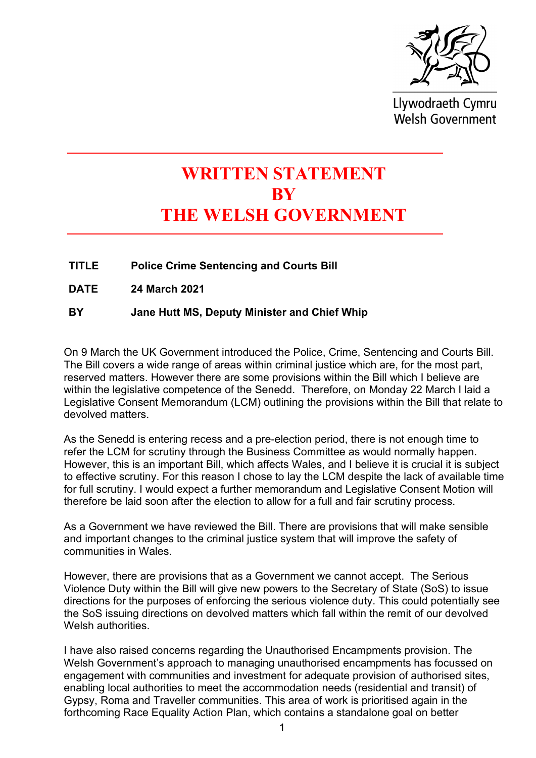

Llywodraeth Cymru **Welsh Government** 

## **WRITTEN STATEMENT BY THE WELSH GOVERNMENT**

**TITLE Police Crime Sentencing and Courts Bill**

**DATE 24 March 2021**

**BY Jane Hutt MS, Deputy Minister and Chief Whip** 

On 9 March the UK Government introduced the Police, Crime, Sentencing and Courts Bill. The Bill covers a wide range of areas within criminal justice which are, for the most part, reserved matters. However there are some provisions within the Bill which I believe are within the legislative competence of the Senedd. Therefore, on Monday 22 March I laid a Legislative Consent Memorandum (LCM) outlining the provisions within the Bill that relate to devolved matters.

As the Senedd is entering recess and a pre-election period, there is not enough time to refer the LCM for scrutiny through the Business Committee as would normally happen. However, this is an important Bill, which affects Wales, and I believe it is crucial it is subject to effective scrutiny. For this reason I chose to lay the LCM despite the lack of available time for full scrutiny. I would expect a further memorandum and Legislative Consent Motion will therefore be laid soon after the election to allow for a full and fair scrutiny process.

As a Government we have reviewed the Bill. There are provisions that will make sensible and important changes to the criminal justice system that will improve the safety of communities in Wales.

However, there are provisions that as a Government we cannot accept. The Serious Violence Duty within the Bill will give new powers to the Secretary of State (SoS) to issue directions for the purposes of enforcing the serious violence duty. This could potentially see the SoS issuing directions on devolved matters which fall within the remit of our devolved Welsh authorities.

I have also raised concerns regarding the Unauthorised Encampments provision. The Welsh Government's approach to managing unauthorised encampments has focussed on engagement with communities and investment for adequate provision of authorised sites, enabling local authorities to meet the accommodation needs (residential and transit) of Gypsy, Roma and Traveller communities. This area of work is prioritised again in the forthcoming Race Equality Action Plan, which contains a standalone goal on better